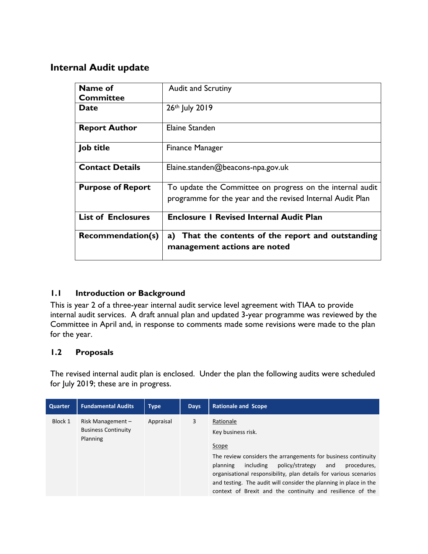## **Internal Audit update**

| Name of<br><b>Committee</b> | <b>Audit and Scrutiny</b>                                                                                               |
|-----------------------------|-------------------------------------------------------------------------------------------------------------------------|
| <b>Date</b>                 | 26th July 2019                                                                                                          |
| <b>Report Author</b>        | Elaine Standen                                                                                                          |
| Job title                   | Finance Manager                                                                                                         |
| <b>Contact Details</b>      | Elaine.standen@beacons-npa.gov.uk                                                                                       |
| <b>Purpose of Report</b>    | To update the Committee on progress on the internal audit<br>programme for the year and the revised Internal Audit Plan |
| <b>List of Enclosures</b>   | <b>Enclosure I Revised Internal Audit Plan</b>                                                                          |
| <b>Recommendation(s)</b>    | a) That the contents of the report and outstanding<br>management actions are noted                                      |

### **1.1 Introduction or Background**

This is year 2 of a three-year internal audit service level agreement with TIAA to provide internal audit services. A draft annual plan and updated 3-year programme was reviewed by the Committee in April and, in response to comments made some revisions were made to the plan for the year.

### **1.2 Proposals**

The revised internal audit plan is enclosed. Under the plan the following audits were scheduled for July 2019; these are in progress.

| <b>Quarter</b> | <b>Fundamental Audits</b>                                     | <b>Type</b> | <b>Days</b> | <b>Rationale and Scope</b>                                                                                                                                                                                                                                                                                                                                                          |
|----------------|---------------------------------------------------------------|-------------|-------------|-------------------------------------------------------------------------------------------------------------------------------------------------------------------------------------------------------------------------------------------------------------------------------------------------------------------------------------------------------------------------------------|
| Block 1        | Risk Management $-$<br><b>Business Continuity</b><br>Planning | Appraisal   | 3           | Rationale<br>Key business risk.<br>Scope<br>The review considers the arrangements for business continuity<br>policy/strategy<br>including<br>procedures,<br>planning<br>and<br>organisational responsibility, plan details for various scenarios<br>and testing. The audit will consider the planning in place in the<br>context of Brexit and the continuity and resilience of the |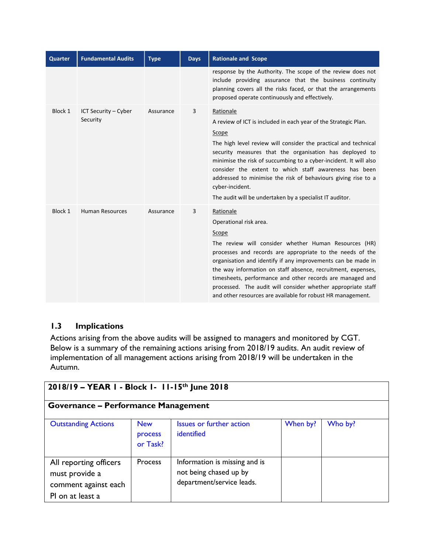| <b>Quarter</b> | <b>Fundamental Audits</b>        | <b>Type</b> | <b>Days</b> | <b>Rationale and Scope</b>                                                                                                                                                                                                                                                                                                                                                                                                                                                                        |
|----------------|----------------------------------|-------------|-------------|---------------------------------------------------------------------------------------------------------------------------------------------------------------------------------------------------------------------------------------------------------------------------------------------------------------------------------------------------------------------------------------------------------------------------------------------------------------------------------------------------|
|                |                                  |             |             | response by the Authority. The scope of the review does not<br>include providing assurance that the business continuity<br>planning covers all the risks faced, or that the arrangements<br>proposed operate continuously and effectively.                                                                                                                                                                                                                                                        |
| Block 1        | ICT Security - Cyber<br>Security | Assurance   | 3           | Rationale<br>A review of ICT is included in each year of the Strategic Plan.<br>Scope<br>The high level review will consider the practical and technical<br>security measures that the organisation has deployed to<br>minimise the risk of succumbing to a cyber-incident. It will also<br>consider the extent to which staff awareness has been<br>addressed to minimise the risk of behaviours giving rise to a<br>cyber-incident.<br>The audit will be undertaken by a specialist IT auditor. |
| Block 1        | <b>Human Resources</b>           | Assurance   | 3           | Rationale<br>Operational risk area.<br>Scope<br>The review will consider whether Human Resources (HR)<br>processes and records are appropriate to the needs of the<br>organisation and identify if any improvements can be made in<br>the way information on staff absence, recruitment, expenses,<br>timesheets, performance and other records are managed and<br>processed. The audit will consider whether appropriate staff<br>and other resources are available for robust HR management.    |

## **1.3 Implications**

Actions arising from the above audits will be assigned to managers and monitored by CGT. Below is a summary of the remaining actions arising from 2018/19 audits. An audit review of implementation of all management actions arising from 2018/19 will be undertaken in the Autumn.

| 2018/19 - YEAR 1 - Block 1- 11-15th June 2018                                        |                                   |                                                                                      |          |         |  |
|--------------------------------------------------------------------------------------|-----------------------------------|--------------------------------------------------------------------------------------|----------|---------|--|
| Governance – Performance Management                                                  |                                   |                                                                                      |          |         |  |
| <b>Outstanding Actions</b>                                                           | <b>New</b><br>process<br>or Task? | <b>Issues or further action</b><br>identified                                        | When by? | Who by? |  |
| All reporting officers<br>must provide a<br>comment against each<br>PI on at least a | Process                           | Information is missing and is<br>not being chased up by<br>department/service leads. |          |         |  |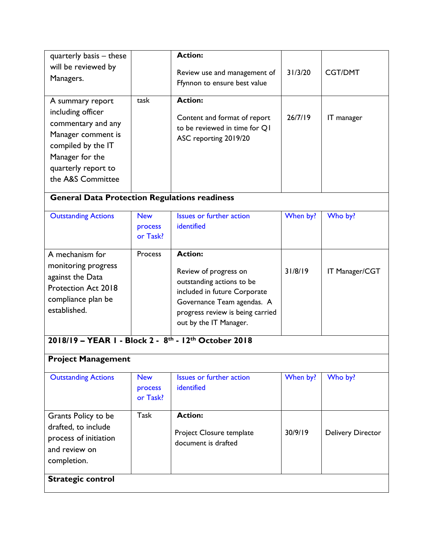| quarterly basis – these<br>will be reviewed by<br>Managers.                                                                                                            |      | <b>Action:</b><br>Review use and management of<br>Ffynnon to ensure best value                           | 31/3/20 | <b>CGT/DMT</b>    |
|------------------------------------------------------------------------------------------------------------------------------------------------------------------------|------|----------------------------------------------------------------------------------------------------------|---------|-------------------|
| A summary report<br>including officer<br>commentary and any<br>Manager comment is<br>compiled by the IT<br>Manager for the<br>quarterly report to<br>the A&S Committee | task | <b>Action:</b><br>Content and format of report<br>to be reviewed in time for QI<br>ASC reporting 2019/20 | 26/7/19 | <b>IT</b> manager |

# **General Data Protection Regulations readiness**

| <b>Outstanding Actions</b>                                                                                                     | <b>New</b><br>process<br>or Task? | Issues or further action<br>identified                                                                                                                                                           | When by? | Who by?        |
|--------------------------------------------------------------------------------------------------------------------------------|-----------------------------------|--------------------------------------------------------------------------------------------------------------------------------------------------------------------------------------------------|----------|----------------|
| A mechanism for<br>monitoring progress<br>against the Data<br><b>Protection Act 2018</b><br>compliance plan be<br>established. | <b>Process</b>                    | <b>Action:</b><br>Review of progress on<br>outstanding actions to be<br>included in future Corporate<br>Governance Team agendas. A<br>progress review is being carried<br>out by the IT Manager. | 31/8/19  | IT Manager/CGT |

#### **2018/19 – YEAR 1 - Block 2 - 8 th - 12th October 2018**

# **Project Management**

| <b>Outstanding Actions</b>                                                                          | <b>New</b><br>process<br>or Task? | Issues or further action<br>identified                            | When by? | Who by?                  |
|-----------------------------------------------------------------------------------------------------|-----------------------------------|-------------------------------------------------------------------|----------|--------------------------|
| Grants Policy to be<br>drafted, to include<br>process of initiation<br>and review on<br>completion. | Task                              | <b>Action:</b><br>Project Closure template<br>document is drafted | 30/9/19  | <b>Delivery Director</b> |
| <b>Strategic control</b>                                                                            |                                   |                                                                   |          |                          |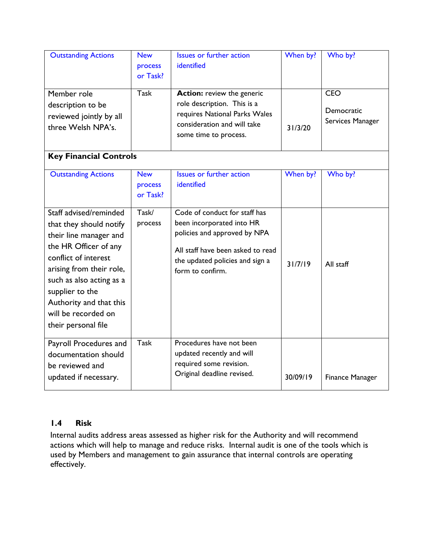| <b>Outstanding Actions</b>                                                        | <b>New</b><br>process<br>or Task? | Issues or further action<br>identified                                                                                                                    | When by? | Who by?                                             |
|-----------------------------------------------------------------------------------|-----------------------------------|-----------------------------------------------------------------------------------------------------------------------------------------------------------|----------|-----------------------------------------------------|
| Member role<br>description to be<br>reviewed jointly by all<br>three Welsh NPA's. | Task                              | <b>Action:</b> review the generic<br>role description. This is a<br>requires National Parks Wales<br>consideration and will take<br>some time to process. | 31/3/20  | <b>CEO</b><br><b>Democratic</b><br>Services Manager |

# **Key Financial Controls**

| <b>Outstanding Actions</b>                                                                                                                                                                                                                                                       | <b>New</b><br>process<br>or Task? | <b>Issues or further action</b><br>identified                                                                                                                                          | When by? | Who by?                |
|----------------------------------------------------------------------------------------------------------------------------------------------------------------------------------------------------------------------------------------------------------------------------------|-----------------------------------|----------------------------------------------------------------------------------------------------------------------------------------------------------------------------------------|----------|------------------------|
| Staff advised/reminded<br>that they should notify<br>their line manager and<br>the HR Officer of any<br>conflict of interest<br>arising from their role,<br>such as also acting as a<br>supplier to the<br>Authority and that this<br>will be recorded on<br>their personal file | Task/<br>process                  | Code of conduct for staff has<br>been incorporated into HR<br>policies and approved by NPA<br>All staff have been asked to read<br>the updated policies and sign a<br>form to confirm. | 31/7/19  | All staff              |
| Payroll Procedures and<br>documentation should<br>be reviewed and<br>updated if necessary.                                                                                                                                                                                       | Task                              | Procedures have not been<br>updated recently and will<br>required some revision.<br>Original deadline revised.                                                                         | 30/09/19 | <b>Finance Manager</b> |

### **1.4 Risk**

Internal audits address areas assessed as higher risk for the Authority and will recommend actions which will help to manage and reduce risks. Internal audit is one of the tools which is used by Members and management to gain assurance that internal controls are operating effectively.